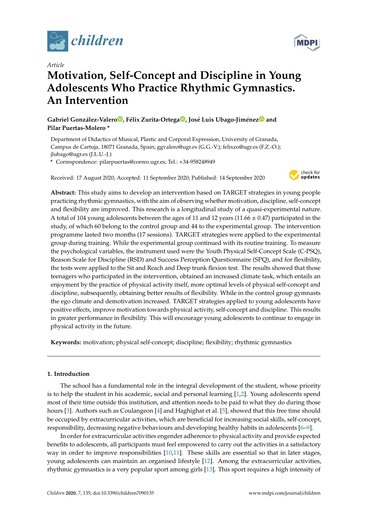

*Article*

# **Motivation, Self-Concept and Discipline in Young Adolescents Who Practice Rhythmic Gymnastics. An Intervention**

**Gabriel González-Valero [,](https://orcid.org/0000-0001-7472-5694) Félix Zurita-Ortega [,](https://orcid.org/0000-0002-1189-894X) José Luis Ubago-Jiméne[z](https://orcid.org/0000-0002-7252-209X) and Pilar Puertas-Molero \***

Department of Didactics of Musical, Plastic and Corporal Expression, University of Granada, Campus de Cartuja, 18071 Granada, Spain; ggvalero@ugr.es (G.G.-V.); felixzo@ugr.es (F.Z.-O.); jlubago@ugr.es (J.L.U.-J.)

**\*** Correspondence: pilarpuertas@correo.ugr.es; Tel.: +34-958248949

Received: 17 August 2020; Accepted: 11 September 2020; Published: 14 September 2020



**Abstract:** This study aims to develop an intervention based on TARGET strategies in young people practicing rhythmic gymnastics, with the aim of observing whether motivation, discipline, self-concept and flexibility are improved. This research is a longitudinal study of a quasi-experimental nature. A total of 104 young adolescents between the ages of 11 and 12 years (11.66  $\pm$  0.47) participated in the study, of which 60 belong to the control group and 44 to the experimental group. The intervention programme lasted two months (17 sessions). TARGET strategies were applied to the experimental group during training. While the experimental group continued with its routine training. To measure the psychological variables, the instrument used were the Youth Physical Self-Concept Scale (C-PSQ), Reason Scale for Discipline (RSD) and Success Perception Questionnaire (SPQ), and for flexibility, the tests were applied to the Sit and Reach and Deep trunk flexion test. The results showed that those teenagers who participated in the intervention, obtained an increased climate task, which entails an enjoyment by the practice of physical activity itself, more optimal levels of physical self-concept and discipline, subsequently, obtaining better results of flexibility. While in the control group gymnasts the ego climate and demotivation increased. TARGET strategies applied to young adolescents have positive effects, improve motivation towards physical activity, self-concept and discipline. This results in greater performance in flexibility. This will encourage young adolescents to continue to engage in physical activity in the future.

**Keywords:** motivation; physical self-concept; discipline; flexibility; rhythmic gymnastics

## **1. Introduction**

The school has a fundamental role in the integral development of the student, whose priority is to help the student in his academic, social and personal learning [\[1](#page-9-0)[,2\]](#page-9-1). Young adolescents spend most of their time outside this institution, and attention needs to be paid to what they do during those hours [\[3\]](#page-9-2). Authors such as Coulangeon [\[4\]](#page-9-3) and Haghighat et al. [\[5\]](#page-9-4), showed that this free time should be occupied by extracurricular activities, which are beneficial for increasing social skills, self-concept, responsibility, decreasing negative behaviours and developing healthy habits in adolescents [\[6](#page-9-5)[–9\]](#page-10-0).

In order for extracurricular activities engender adherence to physical activity and provide expected benefits to adolescents, all participants must feel empowered to carry out the activities in a satisfactory way in order to improve responsibilities  $[10,11]$  $[10,11]$ . These skills are essential so that in later stages, young adolescents can maintain an organised lifestyle [\[12\]](#page-10-3). Among the extracurricular activities, rhythmic gymnastics is a very popular sport among girls [\[13\]](#page-10-4). This sport requires a high intensity of

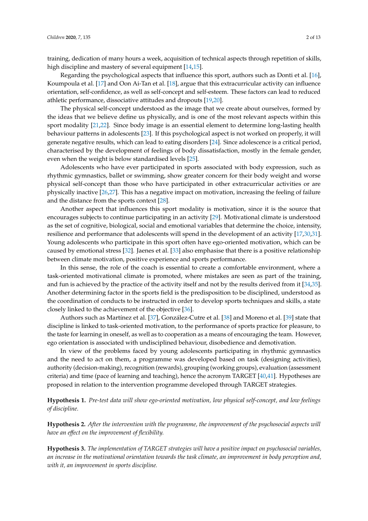training, dedication of many hours a week, acquisition of technical aspects through repetition of skills, high discipline and mastery of several equipment [\[14](#page-10-5)[,15\]](#page-10-6).

Regarding the psychological aspects that influence this sport, authors such as Donti et al. [\[16\]](#page-10-7), Koumpoula et al. [\[17\]](#page-10-8) and Oon Ai-Tan et al. [\[18\]](#page-10-9), argue that this extracurricular activity can influence orientation, self-confidence, as well as self-concept and self-esteem. These factors can lead to reduced athletic performance, dissociative attitudes and dropouts [\[19,](#page-10-10)[20\]](#page-10-11).

The physical self-concept understood as the image that we create about ourselves, formed by the ideas that we believe define us physically, and is one of the most relevant aspects within this sport modality [\[21,](#page-10-12)[22\]](#page-10-13). Since body image is an essential element to determine long-lasting health behaviour patterns in adolescents [\[23\]](#page-10-14). If this psychological aspect is not worked on properly, it will generate negative results, which can lead to eating disorders [\[24\]](#page-10-15). Since adolescence is a critical period, characterised by the development of feelings of body dissatisfaction, mostly in the female gender, even when the weight is below standardised levels [\[25\]](#page-10-16).

Adolescents who have ever participated in sports associated with body expression, such as rhythmic gymnastics, ballet or swimming, show greater concern for their body weight and worse physical self-concept than those who have participated in other extracurricular activities or are physically inactive [\[26](#page-10-17)[,27\]](#page-10-18). This has a negative impact on motivation, increasing the feeling of failure and the distance from the sports context [\[28\]](#page-10-19).

Another aspect that influences this sport modality is motivation, since it is the source that encourages subjects to continue participating in an activity [\[29\]](#page-11-0). Motivational climate is understood as the set of cognitive, biological, social and emotional variables that determine the choice, intensity, resilience and performance that adolescents will spend in the development of an activity [\[17,](#page-10-8)[30,](#page-11-1)[31\]](#page-11-2). Young adolescents who participate in this sport often have ego-oriented motivation, which can be caused by emotional stress [\[32\]](#page-11-3). Jaenes et al. [\[33\]](#page-11-4) also emphasise that there is a positive relationship between climate motivation, positive experience and sports performance.

In this sense, the role of the coach is essential to create a comfortable environment, where a task-oriented motivational climate is promoted, where mistakes are seen as part of the training, and fun is achieved by the practice of the activity itself and not by the results derived from it [\[34,](#page-11-5)[35\]](#page-11-6). Another determining factor in the sports field is the predisposition to be disciplined, understood as the coordination of conducts to be instructed in order to develop sports techniques and skills, a state closely linked to the achievement of the objective [\[36\]](#page-11-7).

Authors such as Martínez et al. [\[37\]](#page-11-8), González-Cutre et al. [\[38\]](#page-11-9) and Moreno et al. [\[39\]](#page-11-10) state that discipline is linked to task-oriented motivation, to the performance of sports practice for pleasure, to the taste for learning in oneself, as well as to cooperation as a means of encouraging the team. However, ego orientation is associated with undisciplined behaviour, disobedience and demotivation.

In view of the problems faced by young adolescents participating in rhythmic gymnastics and the need to act on them, a programme was developed based on task (designing activities), authority (decision-making), recognition (rewards), grouping (working groups), evaluation (assessment criteria) and time (pace of learning and teaching), hence the acronym TARGET  $[40,41]$  $[40,41]$ . Hypotheses are proposed in relation to the intervention programme developed through TARGET strategies.

**Hypothesis 1.** *Pre-test data will show ego-oriented motivation, low physical self-concept, and low feelings of discipline.*

**Hypothesis 2.** *After the intervention with the programme, the improvement of the psychosocial aspects will have an e*ff*ect on the improvement of flexibility.*

**Hypothesis 3.** *The implementation of TARGET strategies will have a positive impact on psychosocial variables, an increase in the motivational orientation towards the task climate, an improvement in body perception and, with it, an improvement in sports discipline.*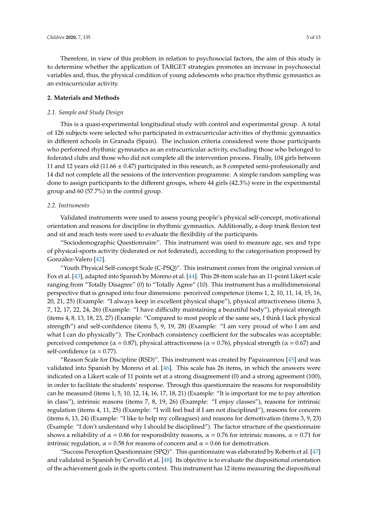Therefore, in view of this problem in relation to psychosocial factors, the aim of this study is to determine whether the application of TARGET strategies promotes an increase in psychosocial variables and, thus, the physical condition of young adolescents who practice rhythmic gymnastics as an extracurricular activity.

## **2. Materials and Methods**

## *2.1. Sample and Study Design*

This is a quasi-experimental longitudinal study with control and experimental group. A total of 126 subjects were selected who participated in extracurricular activities of rhythmic gymnastics in different schools in Granada (Spain). The inclusion criteria considered were those participants who performed rhythmic gymnastics as an extracurricular activity, excluding those who belonged to federated clubs and those who did not complete all the intervention process. Finally, 104 girls between 11 and 12 years old (11.66  $\pm$  0.47) participated in this research, as 8 competed semi-professionally and 14 did not complete all the sessions of the intervention programme. A simple random sampling was done to assign participants to the different groups, where 44 girls (42.3%) were in the experimental group and 60 (57.7%) in the control group.

## *2.2. Instruments*

Validated instruments were used to assess young people's physical self-concept, motivational orientation and reasons for discipline in rhythmic gymnastics. Additionally, a deep trunk flexion test and sit and reach tests were used to evaluate the flexibility of the participants.

"Sociodemographic Questionnaire". This instrument was used to measure age, sex and type of physical-sports activity (federated or not federated), according to the categorisation proposed by González-Valero [\[42\]](#page-11-13).

"Youth Physical Self-concept Scale (C-PSQ)". This instrument comes from the original version of Fox et al. [\[43\]](#page-11-14), adapted into Spanish by Moreno et al. [\[44\]](#page-11-15). This 28-item scale has an 11-point Likert scale ranging from "Totally Disagree" (0) to "Totally Agree" (10). This instrument has a multidimensional perspective that is grouped into four dimensions: perceived competence (items 1, 2, 10, 11, 14, 15, 16, 20, 21, 25) (Example: "I always keep in excellent physical shape"), physical attractiveness (items 3, 7, 12, 17, 22, 24, 26) (Example: "I have difficulty maintaining a beautiful body"), physical strength (items 4, 8, 13, 18, 23, 27) (Example: "Compared to most people of the same sex, I think I lack physical strength") and self-confidence (items 5, 9, 19, 28) (Example: "I am very proud of who I am and what I can do physically"). The Cronbach consistency coefficient for the subscales was acceptable: perceived competence ( $α = 0.87$ ), physical attractiveness ( $α = 0.76$ ), physical strength ( $α = 0.67$ ) and self-confidence ( $\alpha$  = 0.77).

"Reason Scale for Discipline (RSD)". This instrument was created by Papaioannou [\[45\]](#page-11-16) and was validated into Spanish by Moreno et al. [\[46\]](#page-11-17). This scale has 26 items, in which the answers were indicated on a Likert scale of 11 points set at a strong disagreement (0) and a strong agreement (100), in order to facilitate the students' response. Through this questionnaire the reasons for responsibility can be measured (items 1, 5, 10, 12, 14, 16, 17, 18, 21) (Example: "It is important for me to pay attention in class"), intrinsic reasons (items 7, 8, 19, 26) (Example: "I enjoy classes"), reasons for intrinsic regulation (items 4, 11, 25) (Example: "I will feel bad if I am not disciplined"), reasons for concern (items 6, 13, 24) (Example: "I like to help my colleagues) and reasons for demotivation (items 3, 9, 23) (Example: "I don't understand why I should be disciplined"). The factor structure of the questionnaire shows a reliability of  $\alpha = 0.86$  for responsibility reasons,  $\alpha = 0.76$  for intrinsic reasons,  $\alpha = 0.71$  for intrinsic regulation,  $\alpha$  = 0.58 for reasons of concern and  $\alpha$  = 0.66 for demotivation.

"Success Perception Questionnaire (SPQ)". This questionnaire was elaborated by Roberts et al. [\[47\]](#page-11-18) and validated in Spanish by Cervelló et al. [\[48\]](#page-11-19). Its objective is to evaluate the dispositional orientation of the achievement goals in the sports context. This instrument has 12 items measuring the dispositional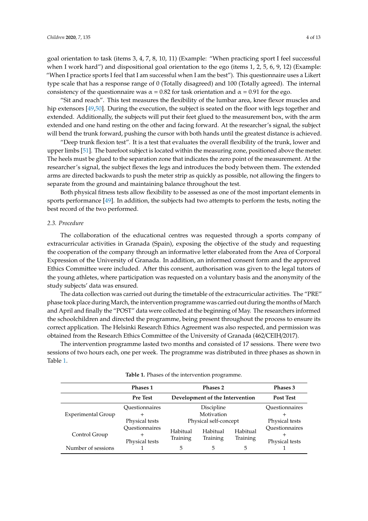goal orientation to task (items 3, 4, 7, 8, 10, 11) (Example: "When practicing sport I feel successful when I work hard") and dispositional goal orientation to the ego (items 1, 2, 5, 6, 9, 12) (Example: "When I practice sports I feel that I am successful when I am the best"). This questionnaire uses a Likert type scale that has a response range of 0 (Totally disagreed) and 100 (Totally agreed). The internal consistency of the questionnaire was  $\alpha = 0.82$  for task orientation and  $\alpha = 0.91$  for the ego.

"Sit and reach". This test measures the flexibility of the lumbar area, knee flexor muscles and hip extensors [\[49,](#page-11-20)[50\]](#page-11-21). During the execution, the subject is seated on the floor with legs together and extended. Additionally, the subjects will put their feet glued to the measurement box, with the arm extended and one hand resting on the other and facing forward. At the researcher's signal, the subject will bend the trunk forward, pushing the cursor with both hands until the greatest distance is achieved.

"Deep trunk flexion test". It is a test that evaluates the overall flexibility of the trunk, lower and upper limbs [\[51\]](#page-12-0). The barefoot subject is located within the measuring zone, positioned above the meter. The heels must be glued to the separation zone that indicates the zero point of the measurement. At the researcher's signal, the subject flexes the legs and introduces the body between them. The extended arms are directed backwards to push the meter strip as quickly as possible, not allowing the fingers to separate from the ground and maintaining balance throughout the test.

Both physical fitness tests allow flexibility to be assessed as one of the most important elements in sports performance [\[49\]](#page-11-20). In addition, the subjects had two attempts to perform the tests, noting the best record of the two performed.

## *2.3. Procedure*

The collaboration of the educational centres was requested through a sports company of extracurricular activities in Granada (Spain), exposing the objective of the study and requesting the cooperation of the company through an informative letter elaborated from the Area of Corporal Expression of the University of Granada. In addition, an informed consent form and the approved Ethics Committee were included. After this consent, authorisation was given to the legal tutors of the young athletes, where participation was requested on a voluntary basis and the anonymity of the study subjects' data was ensured.

The data collection was carried out during the timetable of the extracurricular activities. The "PRE" phase took place during March, the intervention programme was carried out during the months of March and April and finally the "POST" data were collected at the beginning of May. The researchers informed the schoolchildren and directed the programme, being present throughout the process to ensure its correct application. The Helsinki Research Ethics Agreement was also respected, and permission was obtained from the Research Ethics Committee of the University of Granada (462/CEIH/2017).

The intervention programme lasted two months and consisted of 17 sessions. There were two sessions of two hours each, one per week. The programme was distributed in three phases as shown in Table [1.](#page-3-0)

<span id="page-3-0"></span>

|                           | <b>Phases 1</b>                  |                                              | Phases 3         |                      |                                  |
|---------------------------|----------------------------------|----------------------------------------------|------------------|----------------------|----------------------------------|
|                           | <b>Pre Test</b>                  | Development of the Intervention              | <b>Post Test</b> |                      |                                  |
| <b>Experimental Group</b> | Ouestionnaires<br>┿              |                                              | Ouestionnaires   |                      |                                  |
|                           | Physical tests                   | Physical self-concept                        | Physical tests   |                      |                                  |
| Control Group             | Questionnaires<br>Physical tests | Habitual<br>Habitual<br>Training<br>Training |                  | Habitual<br>Training | Questionnaires<br>Physical tests |
| Number of sessions        |                                  | 5                                            | 5                | 5                    |                                  |

**Table 1.** Phases of the intervention programme.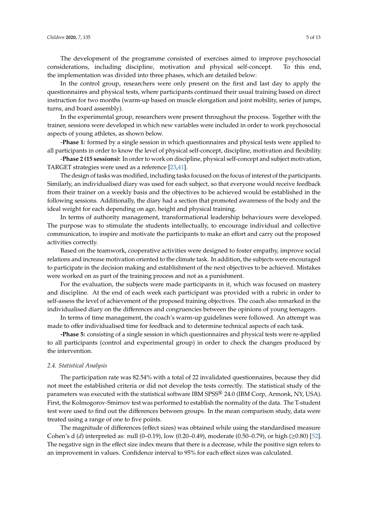The development of the programme consisted of exercises aimed to improve psychosocial considerations, including discipline, motivation and physical self-concept. To this end, the implementation was divided into three phases, which are detailed below:

In the control group, researchers were only present on the first and last day to apply the questionnaires and physical tests, where participants continued their usual training based on direct instruction for two months (warm-up based on muscle elongation and joint mobility, series of jumps, turns, and board assembly).

In the experimental group, researchers were present throughout the process. Together with the trainer, sessions were developed in which new variables were included in order to work psychosocial aspects of young athletes, as shown below.

-**Phase 1:** formed by a single session in which questionnaires and physical tests were applied to all participants in order to know the level of physical self-concept, discipline, motivation and flexibility.

-**Phase 2 (15 sessions):** In order to work on discipline, physical self-concept and subject motivation, TARGET strategies were used as a reference [\[23](#page-10-14)[,41\]](#page-11-12).

The design of tasks was modified, including tasks focused on the focus of interest of the participants. Similarly, an individualised diary was used for each subject, so that everyone would receive feedback from their trainer on a weekly basis and the objectives to be achieved would be established in the following sessions. Additionally, the diary had a section that promoted awareness of the body and the ideal weight for each depending on age, height and physical training.

In terms of authority management, transformational leadership behaviours were developed. The purpose was to stimulate the students intellectually, to encourage individual and collective communication, to inspire and motivate the participants to make an effort and carry out the proposed activities correctly.

Based on the teamwork, cooperative activities were designed to foster empathy, improve social relations and increase motivation oriented to the climate task. In addition, the subjects were encouraged to participate in the decision making and establishment of the next objectives to be achieved. Mistakes were worked on as part of the training process and not as a punishment.

For the evaluation, the subjects were made participants in it, which was focused on mastery and discipline. At the end of each week each participant was provided with a rubric in order to self-assess the level of achievement of the proposed training objectives. The coach also remarked in the individualised diary on the differences and congruencies between the opinions of young teenagers.

In terms of time management, the coach's warm-up guidelines were followed. An attempt was made to offer individualised time for feedback and to determine technical aspects of each task.

**-Phase 5:** consisting of a single session in which questionnaires and physical tests were re-applied to all participants (control and experimental group) in order to check the changes produced by the intervention.

#### *2.4. Statistical Analysis*

The participation rate was 82.54% with a total of 22 invalidated questionnaires, because they did not meet the established criteria or did not develop the tests correctly. The statistical study of the parameters was executed with the statistical software IBM SPSS® 24.0 (IBM Corp, Armonk, NY, USA). First, the Kolmogorov-Smirnov test was performed to establish the normality of the data. The T-student test were used to find out the differences between groups. In the mean comparison study, data were treated using a range of one to five points.

The magnitude of differences (effect sizes) was obtained while using the standardised measure Cohen's d (*d*) interpreted as: null (0–0.19), low (0.20–0.49), moderate (0.50–0.79), or high (≥0.80) [\[52\]](#page-12-1). The negative sign in the effect size index means that there is a decrease, while the positive sign refers to an improvement in values. Confidence interval to 95% for each effect sizes was calculated.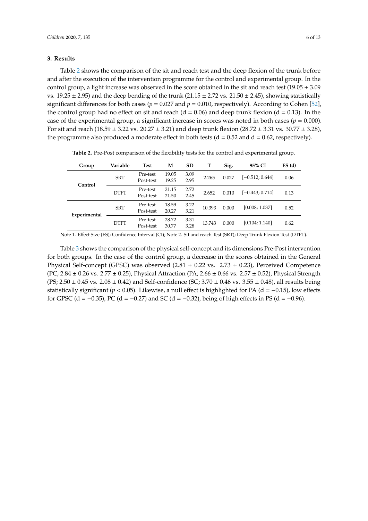## **3. Results**

Table [2](#page-5-0) shows the comparison of the sit and reach test and the deep flexion of the trunk before and after the execution of the intervention programme for the control and experimental group. In the control group, a light increase was observed in the score obtained in the sit and reach test (19.05  $\pm$  3.09 vs.  $19.25 \pm 2.95$ ) and the deep bending of the trunk (21.15  $\pm$  2.72 vs. 21.50  $\pm$  2.45), showing statistically significant differences for both cases ( $p = 0.027$  and  $p = 0.010$ , respectively). According to Cohen [\[52\]](#page-12-1), the control group had no effect on sit and reach ( $d = 0.06$ ) and deep trunk flexion ( $d = 0.13$ ). In the case of the experimental group, a significant increase in scores was noted in both cases ( $p = 0.000$ ). For sit and reach (18.59  $\pm$  3.22 vs. 20.27  $\pm$  3.21) and deep trunk flexion (28.72  $\pm$  3.31 vs. 30.77  $\pm$  3.28), the programme also produced a moderate effect in both tests ( $d = 0.52$  and  $d = 0.62$ , respectively).

<span id="page-5-0"></span>

| Group        | Variable    | Test                  | М              | <b>SD</b>    | т      | Sig.  | 95% CI            | ES(d) |
|--------------|-------------|-----------------------|----------------|--------------|--------|-------|-------------------|-------|
|              | <b>SRT</b>  | Pre-test<br>Post-test | 19.05<br>19.25 | 3.09<br>2.95 | 2.265  | 0.027 | $[-0.512; 0.644]$ | 0.06  |
| Control      | <b>DTFT</b> | Pre-test<br>Post-test | 21.15<br>21.50 | 2.72<br>2.45 | 2.652  | 0.010 | $[-0.443; 0.714]$ | 0.13  |
| Experimental | <b>SRT</b>  | Pre-test<br>Post-test | 18.59<br>20.27 | 3.22<br>3.21 | 10.393 | 0.000 | [0.008; 1.037]    | 0.52  |
|              | <b>DTFT</b> | Pre-test<br>Post-test | 28.72<br>30.77 | 3.31<br>3.28 | 13.743 | 0.000 | [0.104; 1.140]    | 0.62  |

**Table 2.** Pre-Post comparison of the flexibility tests for the control and experimental group.

Note 1. Effect Size (ES); Confidence Interval (CI); Note 2. Sit and reach Test (SRT); Deep Trunk Flexion Test (DTFT).

Table [3](#page-6-0) shows the comparison of the physical self-concept and its dimensions Pre-Post intervention for both groups. In the case of the control group, a decrease in the scores obtained in the General Physical Self-concept (GPSC) was observed  $(2.81 \pm 0.22 \text{ vs. } 2.73 \pm 0.23)$ , Perceived Competence (PC; 2.84  $\pm$  0.26 vs. 2.77  $\pm$  0.25), Physical Attraction (PA; 2.66  $\pm$  0.66 vs. 2.57  $\pm$  0.52), Physical Strength  $(PS; 2.50 \pm 0.45 \text{ vs. } 2.08 \pm 0.42)$  and Self-confidence  $(SC; 3.70 \pm 0.46 \text{ vs. } 3.55 \pm 0.48)$ , all results being statistically significant ( $p < 0.05$ ). Likewise, a null effect is highlighted for PA ( $d = -0.15$ ), low effects for GPSC (d = −0.35), PC (d = −0.27) and SC (d = −0.32), being of high effects in PS (d = −0.96).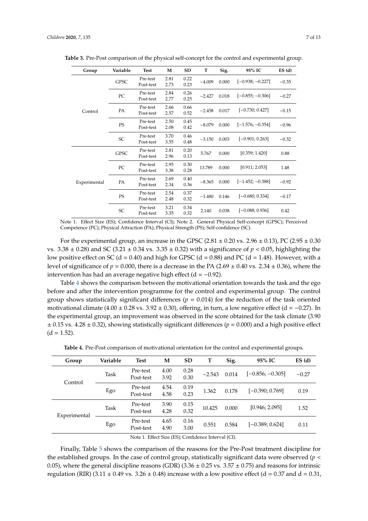| Group        | Variable    | <b>Test</b>           | M            | SD           | т        | Sig.  | 95% IC             | ES(d)   |
|--------------|-------------|-----------------------|--------------|--------------|----------|-------|--------------------|---------|
| Control      | <b>GPSC</b> | Pre-test<br>Post-test | 2.81<br>2.73 | 0.22<br>0.23 | $-4.009$ | 0.000 | $[-0.938; -0.227]$ | $-0.35$ |
|              | PC          | Pre-test<br>Post-test | 2.84<br>2.77 | 0.26<br>0.25 | $-2.427$ | 0.018 | $[-0.855; -0.306]$ | $-0.27$ |
|              | PA          | Pre-test<br>Post-test | 2.66<br>2.57 | 0.66<br>0.52 | $-2.458$ | 0.017 | $[-0.730; 0.427]$  | $-0.15$ |
|              | PS          | Pre-test<br>Post-test | 2.50<br>2.08 | 0.45<br>0.42 | $-8.079$ | 0.000 | $[-1.576; -0.354]$ | $-0.96$ |
|              | SC          | Pre-test<br>Post-test | 3.70<br>3.55 | 0.46<br>0.48 | $-3.150$ | 0.003 | $[-0.901; 0.263]$  | $-0.32$ |
| Experimental | <b>GPSC</b> | Pre-test<br>Post-test | 2.81<br>2.96 | 0.20<br>0.13 | 5.767    | 0.000 | [0.359; 1.420]     | 0.88    |
|              | PC          | Pre-test<br>Post-test | 2.95<br>3.38 | 0.30<br>0.28 | 13.789   | 0.000 | [0.911; 2.053]     | 1.48    |
|              | PA          | Pre-test<br>Post-test | 2.69<br>2.34 | 0.40<br>0.36 | $-8.365$ | 0.000 | $[-1.452; -0.388]$ | $-0.92$ |
|              | PS          | Pre-test<br>Post-test | 2.54<br>2.48 | 0.37<br>0.32 | $-1.480$ | 0.146 | $[-0.680; 0.334]$  | $-0.17$ |
|              | SC          | Pre-test<br>Post-test | 3.21<br>3.35 | 0.34<br>0.32 | 2.140    | 0.038 | $[-0.088; 0.936]$  | 0.42    |

<span id="page-6-0"></span>**Table 3.** Pre-Post comparison of the physical self-concept for the control and experimental group.

Note 1. Effect Size (ES); Confidence Interval (CI); Note 2. General Physical Self-concept (GPSC); Perceived Competence (PC); Physical Attraction (PA); Physical Strength (PS); Self-confidence (SC).

For the experimental group, an increase in the GPSC (2.81  $\pm$  0.20 vs. 2.96  $\pm$  0.13), PC (2.95  $\pm$  0.30 vs.  $3.38 \pm 0.28$ ) and SC ( $3.21 \pm 0.34$  vs.  $3.35 \pm 0.32$ ) with a significance of  $p < 0.05$ , highlighting the low positive effect on SC (d = 0.40) and high for GPSC (d = 0.88) and PC (d = 1.48). However, with a level of significance of  $p = 0.000$ , there is a decrease in the PA (2.69  $\pm$  0.40 vs. 2.34  $\pm$  0.36), where the intervention has had an average negative high effect  $(d = −0.92)$ .

Table [4](#page-6-1) shows the comparison between the motivational orientation towards the task and the ego before and after the intervention programme for the control and experimental group. The control group shows statistically significant differences ( $p = 0.014$ ) for the reduction of the task oriented motivational climate  $(4.00 \pm 0.28 \text{ vs. } 3.92 \pm 0.30)$ , offering, in turn, a low negative effect  $(d = -0.27)$ . In the experimental group, an improvement was observed in the score obtained for the task climate (3.90  $\pm$  0.15 vs. 4.28  $\pm$  0.32), showing statistically significant differences ( $p = 0.000$ ) and a high positive effect  $(d = 1.52)$ .

<span id="page-6-1"></span>

| Group        | Variable | <b>Test</b>                                                                                       | M            | <b>SD</b>    | т        | Sig.  | 95% IC             | ES(d)   |
|--------------|----------|---------------------------------------------------------------------------------------------------|--------------|--------------|----------|-------|--------------------|---------|
| Control      | Task     | Pre-test<br>Post-test                                                                             | 4.00<br>3.92 | 0.28<br>0.30 | $-2.543$ | 0.014 | $[-0.856; -0.305]$ | $-0.27$ |
|              | Ego      | Pre-test<br>Post-test                                                                             | 4.54<br>4.58 | 0.19<br>0.23 | 1.362    | 0.178 | $[-0.390; 0.769]$  | 0.19    |
| Experimental | Task     | Pre-test<br>Post-test                                                                             | 3.90<br>4.28 | 0.15<br>0.32 | 10.425   | 0.000 | [0.946; 2.095]     | 1.52    |
|              | Ego      | Pre-test<br>Post-test                                                                             | 4.65<br>4.90 | 0.16<br>3.00 | 0.551    | 0.584 | $[-0.389; 0.624]$  | 0.11    |
|              |          | $N_{obs}$ 1. $E$ ffeet $C_{ij}$ ( $E_{ij}$ ) $C_{ij}$ $\hat{L}_{ij}$ denote Integral ( $C_{ij}$ ) |              |              |          |       |                    |         |

**Table 4.** Pre-Post comparison of motivational orientation for the control and experimental groups.

Note 1. Effect Size (ES); Confidence Interval (CI).

Finally, Table [5](#page-7-0) shows the comparison of the reasons for the Pre-Post treatment discipline for the established groups. In the case of control group, statistically significant data were observed (*p* < 0.05), where the general discipline reasons (GDR)  $(3.36 \pm 0.25 \text{ vs. } 3.57 \pm 0.75)$  and reasons for intrinsic regulation (RIR) (3.11  $\pm$  0.49 vs. 3.26  $\pm$  0.48) increase with a low positive effect (d = 0.37 and d = 0.31,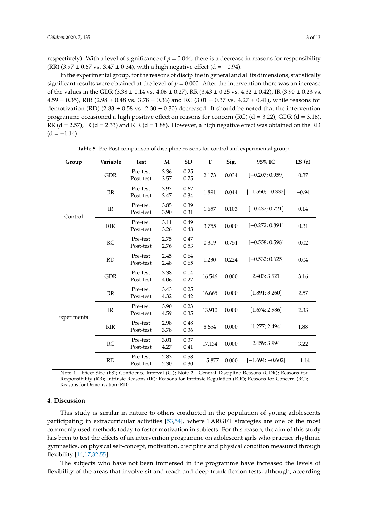respectively). With a level of significance of  $p = 0.044$ , there is a decrease in reasons for responsibility (RR) (3.97  $\pm$  0.67 vs. 3.47  $\pm$  0.34), with a high negative effect (d = -0.94).

In the experimental group, for the reasons of discipline in general and all its dimensions, statistically significant results were obtained at the level of  $p = 0.000$ . After the intervention there was an increase of the values in the GDR (3.38  $\pm$  0.14 vs. 4.06  $\pm$  0.27), RR (3.43  $\pm$  0.25 vs. 4.32  $\pm$  0.42), IR (3.90  $\pm$  0.23 vs.  $4.59 \pm 0.35$ ), RIR (2.98  $\pm$  0.48 vs.  $3.78 \pm 0.36$ ) and RC (3.01  $\pm$  0.37 vs.  $4.27 \pm 0.41$ ), while reasons for demotivation (RD) (2.83  $\pm$  0.58 vs. 2.30  $\pm$  0.30) decreased. It should be noted that the intervention programme occasioned a high positive effect on reasons for concern (RC) (d = 3.22), GDR (d = 3.16), RR ( $d = 2.57$ ), IR ( $d = 2.33$ ) and RIR ( $d = 1.88$ ). However, a high negative effect was obtained on the RD  $(d = -1.14)$ .

<span id="page-7-0"></span>

| Group        | Variable   | <b>Test</b>           | M            | <b>SD</b>    | T        | Sig.  | 95% IC             | ES(d)   |
|--------------|------------|-----------------------|--------------|--------------|----------|-------|--------------------|---------|
| Control      | <b>GDR</b> | Pre-test<br>Post-test | 3.36<br>3.57 | 0.25<br>0.75 | 2.173    | 0.034 | $[-0.207; 0.959]$  | 0.37    |
|              | RR         | Pre-test<br>Post-test | 3.97<br>3.47 | 0.67<br>0.34 | 1.891    | 0.044 | $[-1.550; -0.332]$ | $-0.94$ |
|              | IR         | Pre-test<br>Post-test | 3.85<br>3.90 | 0.39<br>0.31 | 1.657    | 0.103 | $[-0.437; 0.721]$  | 0.14    |
|              | <b>RIR</b> | Pre-test<br>Post-test | 3.11<br>3.26 | 0.49<br>0.48 | 3.755    | 0.000 | $[-0.272; 0.891]$  | 0.31    |
|              | RC         | Pre-test<br>Post-test | 2.75<br>2.76 | 0.47<br>0.53 | 0.319    | 0.751 | $[-0.558; 0.598]$  | 0.02    |
|              | RD         | Pre-test<br>Post-test | 2.45<br>2.48 | 0.64<br>0.65 | 1.230    | 0.224 | $[-0.532; 0.625]$  | 0.04    |
| Experimental | <b>GDR</b> | Pre-test<br>Post-test | 3.38<br>4.06 | 0.14<br>0.27 | 16.546   | 0.000 | [2.403; 3.921]     | 3.16    |
|              | RR         | Pre-test<br>Post-test | 3.43<br>4.32 | 0.25<br>0.42 | 16.665   | 0.000 | [1.891; 3.260]     | 2.57    |
|              | IR         | Pre-test<br>Post-test | 3.90<br>4.59 | 0.23<br>0.35 | 13.910   | 0.000 | [1.674; 2.986]     | 2.33    |
|              | <b>RIR</b> | Pre-test<br>Post-test | 2.98<br>3.78 | 0.48<br>0.36 | 8.654    | 0.000 | [1.277; 2.494]     | 1.88    |
|              | RC         | Pre-test<br>Post-test | 3.01<br>4.27 | 0.37<br>0.41 | 17.134   | 0.000 | [2.459; 3.994]     | 3.22    |
|              | <b>RD</b>  | Pre-test<br>Post-test | 2.83<br>2.30 | 0.58<br>0.30 | $-5.877$ | 0.000 | $[-1.694; -0.602]$ | $-1.14$ |

**Table 5.** Pre-Post comparison of discipline reasons for control and experimental group.

Note 1. Effect Size (ES); Confidence Interval (CI); Note 2. General Discipline Reasons (GDR); Reasons for Responsibility (RR); Intrinsic Reasons (IR); Reasons for Intrinsic Regulation (RIR); Reasons for Concern (RC); Reasons for Demotivation (RD).

#### **4. Discussion**

This study is similar in nature to others conducted in the population of young adolescents participating in extracurricular activities [\[53,](#page-12-2)[54\]](#page-12-3), where TARGET strategies are one of the most commonly used methods today to foster motivation in subjects. For this reason, the aim of this study has been to test the effects of an intervention programme on adolescent girls who practice rhythmic gymnastics, on physical self-concept, motivation, discipline and physical condition measured through flexibility [\[14,](#page-10-5)[17,](#page-10-8)[32,](#page-11-3)[55\]](#page-12-4).

The subjects who have not been immersed in the programme have increased the levels of flexibility of the areas that involve sit and reach and deep trunk flexion tests, although, according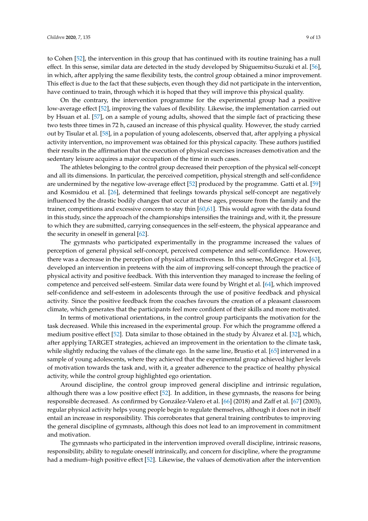to Cohen [\[52\]](#page-12-1), the intervention in this group that has continued with its routine training has a null effect. In this sense, similar data are detected in the study developed by Shiguemitsu-Suzuki et al. [\[56\]](#page-12-5), in which, after applying the same flexibility tests, the control group obtained a minor improvement. This effect is due to the fact that these subjects, even though they did not participate in the intervention, have continued to train, through which it is hoped that they will improve this physical quality.

On the contrary, the intervention programme for the experimental group had a positive low-average effect [\[52\]](#page-12-1), improving the values of flexibility. Likewise, the implementation carried out by Hsuan et al. [\[57\]](#page-12-6), on a sample of young adults, showed that the simple fact of practicing these two tests three times in 72 h, caused an increase of this physical quality. However, the study carried out by Tisular et al. [\[58\]](#page-12-7), in a population of young adolescents, observed that, after applying a physical activity intervention, no improvement was obtained for this physical capacity. These authors justified their results in the affirmation that the execution of physical exercises increases demotivation and the sedentary leisure acquires a major occupation of the time in such cases.

The athletes belonging to the control group decreased their perception of the physical self-concept and all its dimensions. In particular, the perceived competition, physical strength and self-confidence are undermined by the negative low-average effect [\[52\]](#page-12-1) produced by the programme. Gatti et al. [\[59\]](#page-12-8) and Kosmidou et al. [\[26\]](#page-10-17), determined that feelings towards physical self-concept are negatively influenced by the drastic bodily changes that occur at these ages, pressure from the family and the trainer, competitions and excessive concern to stay thin [\[60](#page-12-9)[,61\]](#page-12-10). This would agree with the data found in this study, since the approach of the championships intensifies the trainings and, with it, the pressure to which they are submitted, carrying consequences in the self-esteem, the physical appearance and the security in oneself in general [\[62\]](#page-12-11).

The gymnasts who participated experimentally in the programme increased the values of perception of general physical self-concept, perceived competence and self-confidence. However, there was a decrease in the perception of physical attractiveness. In this sense, McGregor et al. [\[63\]](#page-12-12), developed an intervention in preteens with the aim of improving self-concept through the practice of physical activity and positive feedback. With this intervention they managed to increase the feeling of competence and perceived self-esteem. Similar data were found by Wright et al. [\[64\]](#page-12-13), which improved self-confidence and self-esteem in adolescents through the use of positive feedback and physical activity. Since the positive feedback from the coaches favours the creation of a pleasant classroom climate, which generates that the participants feel more confident of their skills and more motivated.

In terms of motivational orientations, in the control group participants the motivation for the task decreased. While this increased in the experimental group. For which the programme offered a medium positive effect [\[52\]](#page-12-1). Data similar to those obtained in the study by Álvarez et al. [\[32\]](#page-11-3), which, after applying TARGET strategies, achieved an improvement in the orientation to the climate task, while slightly reducing the values of the climate ego. In the same line, Brustio et al. [\[65\]](#page-12-14) intervened in a sample of young adolescents, where they achieved that the experimental group achieved higher levels of motivation towards the task and, with it, a greater adherence to the practice of healthy physical activity, while the control group highlighted ego orientation.

Around discipline, the control group improved general discipline and intrinsic regulation, although there was a low positive effect [\[52\]](#page-12-1). In addition, in these gymnasts, the reasons for being responsible decreased. As confirmed by González-Valero et al. [\[66\]](#page-12-15) (2018) and Zaff et al. [\[67\]](#page-12-16) (2003), regular physical activity helps young people begin to regulate themselves, although it does not in itself entail an increase in responsibility. This corroborates that general training contributes to improving the general discipline of gymnasts, although this does not lead to an improvement in commitment and motivation.

The gymnasts who participated in the intervention improved overall discipline, intrinsic reasons, responsibility, ability to regulate oneself intrinsically, and concern for discipline, where the programme had a medium–high positive effect [\[52\]](#page-12-1). Likewise, the values of demotivation after the intervention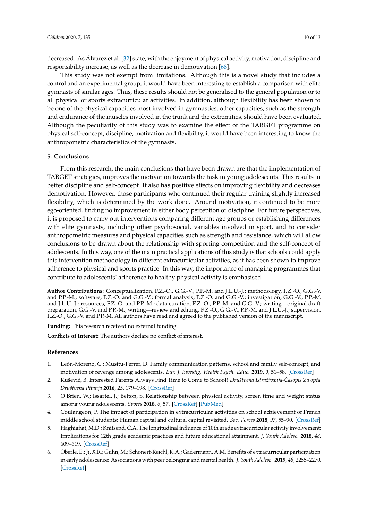decreased. As Álvarez et al. [\[32\]](#page-11-3) state, with the enjoyment of physical activity, motivation, discipline and responsibility increase, as well as the decrease in demotivation [\[68\]](#page-12-17).

This study was not exempt from limitations. Although this is a novel study that includes a control and an experimental group, it would have been interesting to establish a comparison with elite gymnasts of similar ages. Thus, these results should not be generalised to the general population or to all physical or sports extracurricular activities. In addition, although flexibility has been shown to be one of the physical capacities most involved in gymnastics, other capacities, such as the strength and endurance of the muscles involved in the trunk and the extremities, should have been evaluated. Although the peculiarity of this study was to examine the effect of the TARGET programme on physical self-concept, discipline, motivation and flexibility, it would have been interesting to know the anthropometric characteristics of the gymnasts.

## **5. Conclusions**

From this research, the main conclusions that have been drawn are that the implementation of TARGET strategies, improves the motivation towards the task in young adolescents. This results in better discipline and self-concept. It also has positive effects on improving flexibility and decreases demotivation. However, those participants who continued their regular training slightly increased flexibility, which is determined by the work done. Around motivation, it continued to be more ego-oriented, finding no improvement in either body perception or discipline. For future perspectives, it is proposed to carry out interventions comparing different age groups or establishing differences with elite gymnasts, including other psychosocial, variables involved in sport, and to consider anthropometric measures and physical capacities such as strength and resistance, which will allow conclusions to be drawn about the relationship with sporting competition and the self-concept of adolescents. In this way, one of the main practical applications of this study is that schools could apply this intervention methodology in different extracurricular activities, as it has been shown to improve adherence to physical and sports practice. In this way, the importance of managing programmes that contribute to adolescents' adherence to healthy physical activity is emphasised.

**Author Contributions:** Conceptualization, F.Z.-O., G.G.-V., P.P.-M. and J.L.U.-J.; methodology, F.Z.-O., G.G.-V. and P.P.-M.; software, F.Z.-O. and G.G.-V.; formal analysis, F.Z.-O. and G.G.-V.; investigation, G.G.-V., P.P.-M. and J.L.U.-J.; resources, F.Z.-O. and P.P.-M.; data curation, F.Z.-O., P.P.-M. and G.G.-V.; writing—original draft preparation, G.G.-V. and P.P.-M.; writing—review and editing, F.Z.-O., G.G.-V., P.P.-M. and J.L.U.-J.; supervision, F.Z.-O., G.G.-V. and P.P.-M. All authors have read and agreed to the published version of the manuscript.

**Funding:** This research received no external funding.

**Conflicts of Interest:** The authors declare no conflict of interest.

## **References**

- <span id="page-9-0"></span>1. León-Moreno, C.; Musitu-Ferrer, D. Family communication patterns, school and family self-concept, and motivation of revenge among adolescents. *Eur. J. Investig. Health Psych. Educ.* **2019**, *9*, 51–58. [\[CrossRef\]](http://dx.doi.org/10.30552/ejihpe.v9i1.316)
- <span id="page-9-1"></span>2. Kuševi´c, B. Interested Parents Always Find Time to Come to School! *Društvena Istraživanja-Casopis Za op´ca ˇ Društvena Pitanja* **2016**, *25*, 179–198. [\[CrossRef\]](http://dx.doi.org/10.5559/di.25.2.02)
- <span id="page-9-2"></span>3. O'Brien, W.; Issartel, J.; Belton, S. Relationship between physical activity, screen time and weight status among young adolescents. *Sports* **2018**, *6*, 57. [\[CrossRef\]](http://dx.doi.org/10.3390/sports6030057) [\[PubMed\]](http://www.ncbi.nlm.nih.gov/pubmed/29937496)
- <span id="page-9-3"></span>4. Coulangeon, P. The impact of participation in extracurricular activities on school achievement of French middle school students: Human capital and cultural capital revisited. *Soc. Forces* **2018**, *97*, 55–90. [\[CrossRef\]](http://dx.doi.org/10.1093/sf/soy016)
- <span id="page-9-4"></span>5. Haghighat, M.D.; Knifsend, C.A. The longitudinal influence of 10th grade extracurricular activity involvement: Implications for 12th grade academic practices and future educational attainment. *J. Youth Adolesc.* **2018**, *48*, 609–619. [\[CrossRef\]](http://dx.doi.org/10.1007/s10964-018-0947-x)
- <span id="page-9-5"></span>6. Oberle, E.; Ji, X.R.; Guhn, M.; Schonert-Reichl, K.A.; Gadermann, A.M. Benefits of extracurricular participation in early adolescence: Associations with peer belonging and mental health. *J. Youth Adolesc.* **2019**, *48*, 2255–2270. [\[CrossRef\]](http://dx.doi.org/10.1007/s10964-019-01110-2)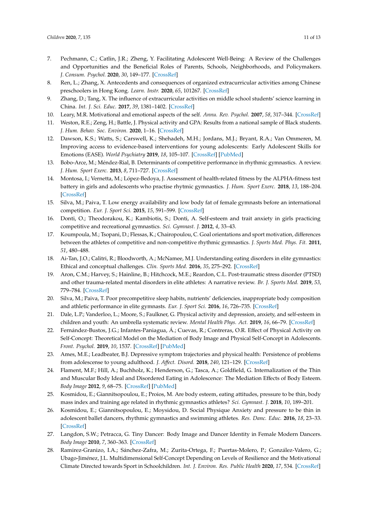- 7. Pechmann, C.; Catlin, J.R.; Zheng, Y. Facilitating Adolescent Well-Being: A Review of the Challenges and Opportunities and the Beneficial Roles of Parents, Schools, Neighborhoods, and Policymakers. *J. Consum. Psychol.* **2020**, *30*, 149–177. [\[CrossRef\]](http://dx.doi.org/10.1002/jcpy.1136)
- 8. Ren, L.; Zhang, X. Antecedents and consequences of organized extracurricular activities among Chinese preschoolers in Hong Kong. *Learn. Instr.* **2020**, *65*, 101267. [\[CrossRef\]](http://dx.doi.org/10.1016/j.learninstruc.2019.101267)
- <span id="page-10-0"></span>9. Zhang, D.; Tang, X. The influence of extracurricular activities on middle school students' science learning in China. *Int. J. Sci. Educ.* **2017**, *39*, 1381–1402. [\[CrossRef\]](http://dx.doi.org/10.1080/09500693.2017.1332797)
- <span id="page-10-1"></span>10. Leary, M.R. Motivational and emotional aspects of the self. *Annu. Rev. Psychol.* **2007**, *58*, 317–344. [\[CrossRef\]](http://dx.doi.org/10.1146/annurev.psych.58.110405.085658)
- <span id="page-10-2"></span>11. Weston, R.E.; Zeng, H.; Battle, J. Physical activity and GPA: Results from a national sample of Black students. *J. Hum. Behav. Soc. Environ.* **2020**, 1–16. [\[CrossRef\]](http://dx.doi.org/10.1080/10911359.2019.1687387)
- <span id="page-10-3"></span>12. Dawson, K.S.; Watts, S.; Carswell, K.; Shehadeh, M.H.; Jordans, M.J.; Bryant, R.A.; Van Ommeren, M. Improving access to evidence-based interventions for young adolescents: Early Adolescent Skills for Emotions (EASE). *World Psychiatry* **2019**, *18*, 105–107. [\[CrossRef\]](http://dx.doi.org/10.1002/wps.20594) [\[PubMed\]](http://www.ncbi.nlm.nih.gov/pubmed/30600639)
- <span id="page-10-4"></span>13. Bobo-Arce, M.; Méndez-Rial, B. Determinants of competitive performance in rhythmic gymnastics. A review. *J. Hum. Sport Exerc.* **2013**, *8*, 711–727. [\[CrossRef\]](http://dx.doi.org/10.4100/jhse.2013.8.Proc3.18)
- <span id="page-10-5"></span>14. Montosa, I.; Vernetta, M.; López-Bedoya, J. Assessment of health-related fitness by the ALPHA-fitness test battery in girls and adolescents who practise rhytmic gymnastics. *J. Hum. Sport Exerc.* **2018**, *13*, 188–204. [\[CrossRef\]](http://dx.doi.org/10.14198/jhse.2018.131.18)
- <span id="page-10-6"></span>15. Silva, M.; Paiva, T. Low energy availability and low body fat of female gymnasts before an international competition. *Eur. J. Sport Sci.* **2015**, *15*, 591–599. [\[CrossRef\]](http://dx.doi.org/10.1080/17461391.2014.969323)
- <span id="page-10-7"></span>16. Donti, O.; Theodorakou, K.; Kambiotis, S.; Donti, A. Self-esteem and trait anxiety in girls practicing competitive and recreational gymnastics. *Sci. Gymnast. J.* **2012**, *4*, 33–43.
- <span id="page-10-8"></span>17. Koumpoula, M.; Tsopani, D.; Flessas, K.; Chairopoulou, C. Goal orientations and sport motivation, differences between the athletes of competitive and non-competitive rhythmic gymnastics. *J. Sports Med. Phys. Fit.* **2011**, *51*, 480–488.
- <span id="page-10-9"></span>18. Ai-Tan, J.O.; Calitri, R.; Bloodworth, A.; McNamee, M.J. Understanding eating disorders in elite gymnastics: Ethical and conceptual challenges. *Clin. Sports Med.* **2016**, *35*, 275–292. [\[CrossRef\]](http://dx.doi.org/10.1016/j.csm.2015.10.002)
- <span id="page-10-10"></span>19. Aron, C.M.; Harvey, S.; Hainline, B.; Hitchcock, M.E.; Reardon, C.L. Post-traumatic stress disorder (PTSD) and other trauma-related mental disorders in elite athletes: A narrative review. *Br. J. Sports Med.* **2019**, *53*, 779–784. [\[CrossRef\]](http://dx.doi.org/10.1136/bjsports-2019-100695)
- <span id="page-10-11"></span>20. Silva, M.; Paiva, T. Poor precompetitive sleep habits, nutrients' deficiencies, inappropriate body composition and athletic performance in elite gymnasts. *Eur. J. Sport Sci.* **2016**, *16*, 726–735. [\[CrossRef\]](http://dx.doi.org/10.1080/17461391.2015.1103316)
- <span id="page-10-12"></span>21. Dale, L.P.; Vanderloo, L.; Moore, S.; Faulkner, G. Physical activity and depression, anxiety, and self-esteem in children and youth: An umbrella systematic review. *Mental Health Phys. Act.* **2019**, *16*, 66–79. [\[CrossRef\]](http://dx.doi.org/10.1016/j.mhpa.2018.12.001)
- <span id="page-10-13"></span>22. Fernández-Bustos, J.G.; Infantes-Paniagua, Á.; Cuevas, R.; Contreras, O.R. Effect of Physical Activity on Self-Concept: Theoretical Model on the Mediation of Body Image and Physical Self-Concept in Adolescents. *Front. Psychol.* **2019**, *10*, 1537. [\[CrossRef\]](http://dx.doi.org/10.3389/fpsyg.2019.01537) [\[PubMed\]](http://www.ncbi.nlm.nih.gov/pubmed/31354570)
- <span id="page-10-14"></span>23. Ames, M.E.; Leadbeater, B.J. Depressive symptom trajectories and physical health: Persistence of problems from adolescense to young adulthood. *J. A*ff*ect. Disord.* **2018**, *240*, 121–129. [\[CrossRef\]](http://dx.doi.org/10.1016/j.jad.2018.07.001)
- <span id="page-10-15"></span>24. Flament, M.F.; Hill, A.; Buchholz, K.; Henderson, G.; Tasca, A.; Goldfield, G. Internalization of the Thin and Muscular Body Ideal and Disordered Eating in Adolescence: The Mediation Effects of Body Esteem. *Body Image* **2012**, *9*, 68–75. [\[CrossRef\]](http://dx.doi.org/10.1016/j.bodyim.2011.07.007) [\[PubMed\]](http://www.ncbi.nlm.nih.gov/pubmed/21889429)
- <span id="page-10-16"></span>25. Kosmidou, E.; Giannitsopoulou, E.; Proios, M. Are body esteem, eating attitudes, pressure to be thin, body mass index and training age related in rhythmic gymnastics athletes? *Sci. Gymnast. J.* **2018**, *10*, 189–201.
- <span id="page-10-17"></span>26. Kosmidou, E.; Giannitsopoulou, E.; Moysidou, D. Social Physique Anxiety and pressure to be thin in adolescent ballet dancers, rhythmic gymnastics and swimming athletes. *Res. Danc. Educ.* **2016**, *18*, 23–33. [\[CrossRef\]](http://dx.doi.org/10.1080/14647893.2016.1223027)
- <span id="page-10-18"></span>27. Langdon, S.W.; Petracca, G. Tiny Dancer: Body Image and Dancer Identity in Female Modern Dancers. *Body Image* **2010**, *7*, 360–363. [\[CrossRef\]](http://dx.doi.org/10.1016/j.bodyim.2010.06.005)
- <span id="page-10-19"></span>28. Ramirez-Granizo, I.A.; Sánchez-Zafra, M.; Zurita-Ortega, F.; Puertas-Molero, P.; González-Valero, G.; Ubago-Jiménez, J.L. Multidimensional Self-Concept Depending on Levels of Resilience and the Motivational Climate Directed towards Sport in Schoolchildren. *Int. J. Environ. Res. Public Health* **2020**, *17*, 534. [\[CrossRef\]](http://dx.doi.org/10.3390/ijerph17020534)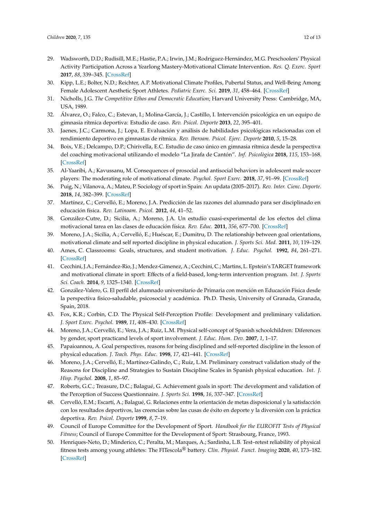- <span id="page-11-0"></span>29. Wadsworth, D.D.; Rudisill, M.E.; Hastie, P.A.; Irwin, J.M.; Rodríguez-Hernández, M.G. Preschoolers' Physical Activity Participation Across a Yearlong Mastery-Motivational Climate Intervention. *Res. Q. Exerc. Sport* **2017**, *88*, 339–345. [\[CrossRef\]](http://dx.doi.org/10.1080/02701367.2017.1321099)
- <span id="page-11-1"></span>30. Kipp, L.E.; Bolter, N.D.; Reichter, A.P. Motivational Climate Profiles, Pubertal Status, and Well-Being Among Female Adolescent Aesthetic Sport Athletes. *Pediatric Exerc. Sci.* **2019**, *31*, 458–464. [\[CrossRef\]](http://dx.doi.org/10.1123/pes.2018-0182)
- <span id="page-11-2"></span>31. Nicholls, J.G. *The Competitive Ethos and Democratic Education*; Harvard University Press: Cambridge, MA, USA, 1989.
- <span id="page-11-3"></span>32. Álvarez, O.; Falco, C.; Estevan, I.; Molina-García, J.; Castillo, I. Intervención psicológica en un equipo de gimnasia rítmica deportiva: Estudio de caso. *Rev. Psicol. Deporte* **2013**, *22*, 395–401.
- <span id="page-11-4"></span>33. Jaenes, J.C.; Carmona, J.; Lopa, E. Evaluación y análisis de habilidades psicológicas relacionadas con el rendimiento deportivo en gimnastas de rítmica. *Rev. Iberoam. Psicol. Ejerc. Deporte* **2010**, *5*, 15–28.
- <span id="page-11-5"></span>34. Boix, V.E.; Delcampo, D.P.; Chirivella, E.C. Estudio de caso único en gimnasia rítmica desde la perspectiva del coaching motivacional utilizando el modelo "La Jirafa de Cantón". *Inf. Psicològica* **2018**, *115*, 153–168. [\[CrossRef\]](http://dx.doi.org/10.14635/IPSIC.2018.115.3)
- <span id="page-11-6"></span>35. Al-Yaaribi, A.; Kavussanu, M. Consequences of prosocial and antisocial behaviors in adolescent male soccer players: The moderating role of motivational climate. *Psychol. Sport Exerc.* **2018**, *37*, 91–99. [\[CrossRef\]](http://dx.doi.org/10.1016/j.psychsport.2018.04.005)
- <span id="page-11-7"></span>36. Puig, N.; Vilanova, A.; Mateu, P. Sociology of sport in Spain: An updata (2005–2017). *Rev. Inter. Cienc. Deporte.* **2018**, *14*, 382–399. [\[CrossRef\]](http://dx.doi.org/10.5232/ricyde2018.05408)
- <span id="page-11-8"></span>37. Martínez, C.; Cervelló, E.; Moreno, J.A. Predicción de las razones del alumnado para ser disciplinado en educación física. *Rev. Latinoam. Psicol.* **2012**, *44*, 41–52.
- <span id="page-11-9"></span>38. González-Cutre, D.; Sicilia, A.; Moreno, J.A. Un estudio cuasi-experimental de los efectos del clima motivacional tarea en las clases de educación física. *Rev. Educ.* **2011**, *356*, 677–700. [\[CrossRef\]](http://dx.doi.org/10.4438/1988-592X-RE-2010-356-056)
- <span id="page-11-10"></span>39. Moreno, J.A.; Sicilia, A.; Cervelló, E.; Huéscar, E.; Dumitru, D. The relationship between goal orientations, motivational climate and self reported discipline in physical education. *J. Sports Sci. Med.* **2011**, *10*, 119–129.
- <span id="page-11-11"></span>40. Ames, C. Classrooms: Goals, structures, and student motivation. *J. Educ. Psychol.* **1992**, *84*, 261–271. [\[CrossRef\]](http://dx.doi.org/10.1037/0022-0663.84.3.261)
- <span id="page-11-12"></span>41. Cecchini, J.A.; Fernández-Rio, J.; Mendez-Gimenez, A.; Cecchini, C.; Martins, L. Epstein's TARGET framework and motivational climate in sport: Effects of a field-based, long-term intervention program. *Int. J. Sports Sci. Coach.* **2014**, *9*, 1325–1340. [\[CrossRef\]](http://dx.doi.org/10.1260/1747-9541.9.6.1325)
- <span id="page-11-13"></span>42. González-Valero, G. El perfil del alumnado universitario de Primaria con mención en Educación Física desde la perspectiva fisico-saludable, psicosocial y académica. Ph.D. Thesis, University of Granada, Granada, Spain, 2018.
- <span id="page-11-14"></span>43. Fox, K.R.; Corbin, C.D. The Physical Self-Perception Profile: Development and preliminary validation. *J. Sport Exerc. Psychol.* **1989**, *11*, 408–430. [\[CrossRef\]](http://dx.doi.org/10.1123/jsep.11.4.408)
- <span id="page-11-15"></span>44. Moreno, J.A.; Cervelló, E.; Vera, J.A.; Ruiz, L.M. Physical self-concept of Spanish schoolchildren: Diferences by gender, sport practicand levels of sport involvement. *J. Educ. Hum. Dev.* **2007**, *1*, 1–17.
- <span id="page-11-16"></span>45. Papaioannou, A. Goal perspectives, reasons for being disciplined and self-reported discipline in the lesson of physical education. *J. Teach. Phys. Educ.* **1998**, *17*, 421–441. [\[CrossRef\]](http://dx.doi.org/10.1123/jtpe.17.4.421)
- <span id="page-11-17"></span>46. Moreno, J.A.; Cervelló, E.; Martínez-Galindo, C.; Ruiz, L.M. Preliminary construct validation study of the Reasons for Discipline and Strategies to Sustain Discipline Scales in Spanish physical education. *Int. J. Hisp. Psychol.* **2008**, *1*, 85–97.
- <span id="page-11-18"></span>47. Roberts, G.C.; Treasure, D.C.; Balagué, G. Achievement goals in sport: The development and validation of the Perception of Success Questionnaire. *J. Sports Sci.* **1998**, *16*, 337–347. [\[CrossRef\]](http://dx.doi.org/10.1080/02640419808559362)
- <span id="page-11-19"></span>48. Cervelló, E.M.; Escartí, A.; Balagué, G. Relaciones entre la orientación de metas disposicional y la satisfacción con los resultados deportivos, las creencias sobre las cusas de éxito en deporte y la diversión con la práctica deportiva. *Rev. Psicol. Deporte* **1999**, *8*, 7–19.
- <span id="page-11-20"></span>49. Council of Europe Committee for the Development of Sport. *Handbook for the EUROFIT Tests of Physical Fitness*; Council of Europe Committee for the Development of Sport: Strasbourg, France, 1993.
- <span id="page-11-21"></span>50. Henriques-Neto, D.; Minderico, C.; Peralta, M.; Marques, A.; Sardinha, L.B. Test–retest reliability of physical fitness tests among young athletes: The FITescola® battery. *Clin. Physiol. Funct. Imaging* **2020**, *40*, 173–182. [\[CrossRef\]](http://dx.doi.org/10.1111/cpf.12624)